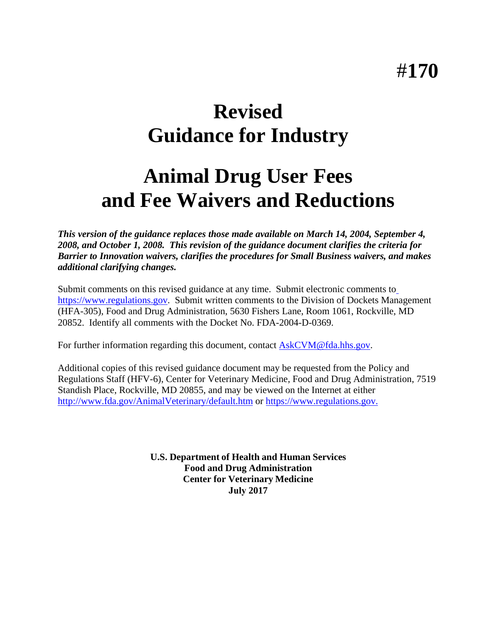# **Revised Guidance for Industry**

# **Animal Drug User Fees and Fee Waivers and Reductions**

*This version of the guidance replaces those made available on March 14, 2004, September 4, 2008, and October 1, 2008. This revision of the guidance document clarifies the criteria for Barrier to Innovation waivers, clarifies the procedures for Small Business waivers, and makes additional clarifying changes.*

Submit comments on this revised guidance at any time. Submit electronic comments to [https://www.regulations.gov.](https://www.regulations.gov/) Submit written comments to the Division of Dockets Management (HFA-305), Food and Drug Administration, 5630 Fishers Lane, Room 1061, Rockville, MD 20852. Identify all comments with the Docket No. FDA-2004-D-0369.

For further information regarding this document, contact [AskCVM@fda.hhs.gov.](mailto:AskCVM@fda.hhs.gov)

Additional copies of this revised guidance document may be requested from the Policy and Regulations Staff (HFV-6), Center for Veterinary Medicine, Food and Drug Administration, 7519 Standish Place, Rockville, MD 20855, and may be viewed on the Internet at either <http://www.fda.gov/AnimalVeterinary/default.htm>or [https://www.regulations.gov.](https://www.regulations.gov/)

> **U.S. Department of Health and Human Services Food and Drug Administration Center for Veterinary Medicine July 2017**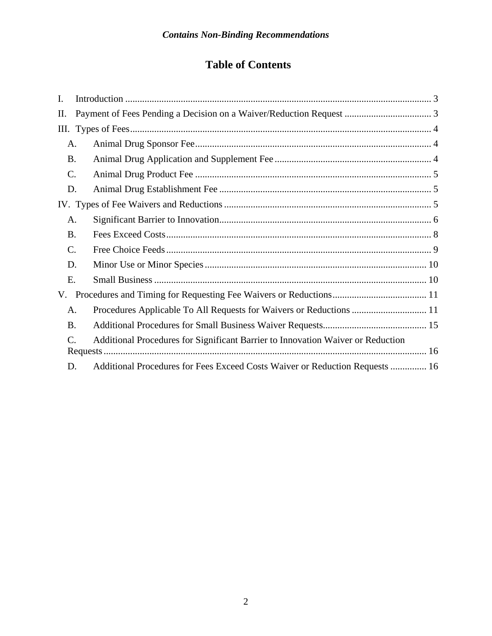# **Table of Contents**

| $\mathbf{I}$ . |                                                                                 |
|----------------|---------------------------------------------------------------------------------|
| Π.             |                                                                                 |
|                |                                                                                 |
| A.             |                                                                                 |
| <b>B.</b>      |                                                                                 |
| C.             |                                                                                 |
| D.             |                                                                                 |
|                |                                                                                 |
| A.             |                                                                                 |
| <b>B.</b>      |                                                                                 |
| C.             |                                                                                 |
| D.             |                                                                                 |
| Ε.             |                                                                                 |
| V.             |                                                                                 |
| A.             | Procedures Applicable To All Requests for Waivers or Reductions  11             |
| <b>B.</b>      |                                                                                 |
| C.             | Additional Procedures for Significant Barrier to Innovation Waiver or Reduction |
|                |                                                                                 |
| D.             | Additional Procedures for Fees Exceed Costs Waiver or Reduction Requests  16    |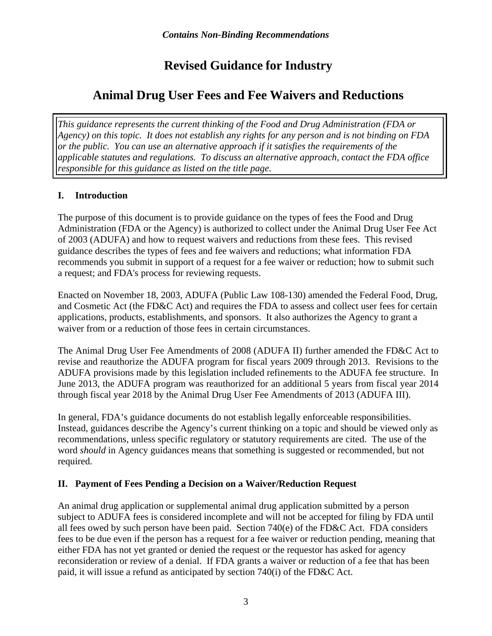# **Revised Guidance for Industry**

# **Animal Drug User Fees and Fee Waivers and Reductions**

*This guidance represents the current thinking of the Food and Drug Administration (FDA or Agency) on this topic. It does not establish any rights for any person and is not binding on FDA or the public. You can use an alternative approach if it satisfies the requirements of the applicable statutes and regulations. To discuss an alternative approach, contact the FDA office responsible for this guidance as listed on the title page.* 

## <span id="page-2-0"></span>**I. Introduction**

The purpose of this document is to provide guidance on the types of fees the Food and Drug Administration (FDA or the Agency) is authorized to collect under the Animal Drug User Fee Act of 2003 (ADUFA) and how to request waivers and reductions from these fees. This revised guidance describes the types of fees and fee waivers and reductions; what information FDA recommends you submit in support of a request for a fee waiver or reduction; how to submit such a request; and FDA's process for reviewing requests.

Enacted on November 18, 2003, ADUFA (Public Law 108-130) amended the Federal Food, Drug, and Cosmetic Act (the FD&C Act) and requires the FDA to assess and collect user fees for certain applications, products, establishments, and sponsors. It also authorizes the Agency to grant a waiver from or a reduction of those fees in certain circumstances.

The Animal Drug User Fee Amendments of 2008 (ADUFA II) further amended the FD&C Act to revise and reauthorize the ADUFA program for fiscal years 2009 through 2013. Revisions to the ADUFA provisions made by this legislation included refinements to the ADUFA fee structure. In June 2013, the ADUFA program was reauthorized for an additional 5 years from fiscal year 2014 through fiscal year 2018 by the Animal Drug User Fee Amendments of 2013 (ADUFA III).

In general, FDA's guidance documents do not establish legally enforceable responsibilities. Instead, guidances describe the Agency's current thinking on a topic and should be viewed only as recommendations, unless specific regulatory or statutory requirements are cited. The use of the word *should* in Agency guidances means that something is suggested or recommended, but not required.

# <span id="page-2-1"></span>**II. Payment of Fees Pending a Decision on a Waiver/Reduction Request**

An animal drug application or supplemental animal drug application submitted by a person subject to ADUFA fees is considered incomplete and will not be accepted for filing by FDA until all fees owed by such person have been paid. Section 740(e) of the FD&C Act. FDA considers fees to be due even if the person has a request for a fee waiver or reduction pending, meaning that either FDA has not yet granted or denied the request or the requestor has asked for agency reconsideration or review of a denial. If FDA grants a waiver or reduction of a fee that has been paid, it will issue a refund as anticipated by section 740(i) of the FD&C Act.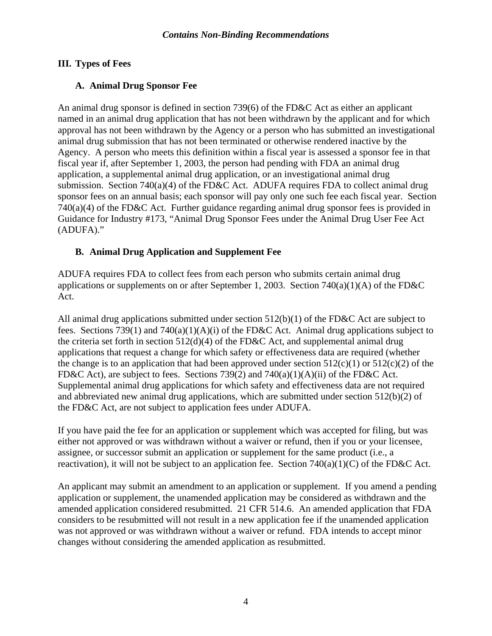#### <span id="page-3-0"></span>**III. Types of Fees**

## <span id="page-3-1"></span>**A. Animal Drug Sponsor Fee**

An animal drug sponsor is defined in section 739(6) of the FD&C Act as either an applicant named in an animal drug application that has not been withdrawn by the applicant and for which approval has not been withdrawn by the Agency or a person who has submitted an investigational animal drug submission that has not been terminated or otherwise rendered inactive by the Agency. A person who meets this definition within a fiscal year is assessed a sponsor fee in that fiscal year if, after September 1, 2003, the person had pending with FDA an animal drug application, a supplemental animal drug application, or an investigational animal drug submission. Section 740(a)(4) of the FD&C Act. ADUFA requires FDA to collect animal drug sponsor fees on an annual basis; each sponsor will pay only one such fee each fiscal year. Section 740(a)(4) of the FD&C Act. Further guidance regarding animal drug sponsor fees is provided in Guidance for Industry #173, "Animal Drug Sponsor Fees under the Animal Drug User Fee Act (ADUFA)."

## <span id="page-3-2"></span>**B. Animal Drug Application and Supplement Fee**

ADUFA requires FDA to collect fees from each person who submits certain animal drug applications or supplements on or after September 1, 2003. Section 740(a)(1)(A) of the FD&C Act.

All animal drug applications submitted under section 512(b)(1) of the FD&C Act are subject to fees. Sections 739(1) and 740(a)(1)(A)(i) of the FD&C Act. Animal drug applications subject to the criteria set forth in section  $512(d)(4)$  of the FD&C Act, and supplemental animal drug applications that request a change for which safety or effectiveness data are required (whether the change is to an application that had been approved under section  $512(c)(1)$  or  $512(c)(2)$  of the FD&C Act), are subject to fees. Sections 739(2) and 740(a)(1)(A)(ii) of the FD&C Act. Supplemental animal drug applications for which safety and effectiveness data are not required and abbreviated new animal drug applications, which are submitted under section 512(b)(2) of the FD&C Act, are not subject to application fees under ADUFA.

If you have paid the fee for an application or supplement which was accepted for filing, but was either not approved or was withdrawn without a waiver or refund, then if you or your licensee, assignee, or successor submit an application or supplement for the same product (i.e., a reactivation), it will not be subject to an application fee. Section  $740(a)(1)(C)$  of the FD&C Act.

An applicant may submit an amendment to an application or supplement. If you amend a pending application or supplement, the unamended application may be considered as withdrawn and the amended application considered resubmitted. 21 CFR 514.6. An amended application that FDA considers to be resubmitted will not result in a new application fee if the unamended application was not approved or was withdrawn without a waiver or refund. FDA intends to accept minor changes without considering the amended application as resubmitted.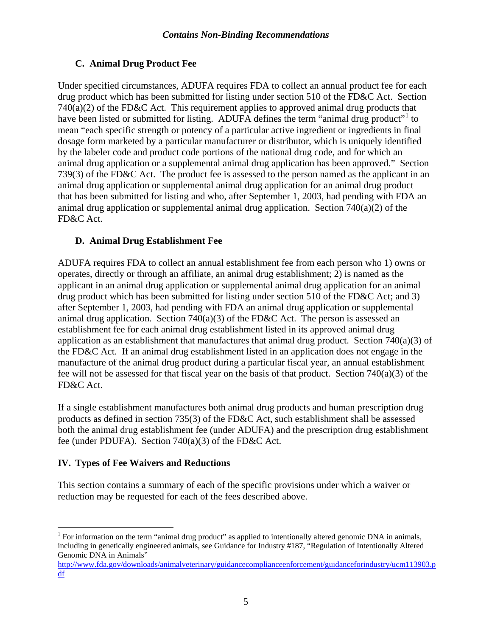# <span id="page-4-0"></span>**C. Animal Drug Product Fee**

Under specified circumstances, ADUFA requires FDA to collect an annual product fee for each drug product which has been submitted for listing under section 510 of the FD&C Act. Section  $740(a)(2)$  of the FD&C Act. This requirement applies to approved animal drug products that have been listed or submitted for listing. ADUFA defines the term "animal drug product"<sup>[1](#page-4-3)</sup> to mean "each specific strength or potency of a particular active ingredient or ingredients in final dosage form marketed by a particular manufacturer or distributor, which is uniquely identified by the labeler code and product code portions of the national drug code, and for which an animal drug application or a supplemental animal drug application has been approved." Section 739(3) of the FD&C Act. The product fee is assessed to the person named as the applicant in an animal drug application or supplemental animal drug application for an animal drug product that has been submitted for listing and who, after September 1, 2003, had pending with FDA an animal drug application or supplemental animal drug application. Section 740(a)(2) of the FD&C Act.

# <span id="page-4-1"></span>**D. Animal Drug Establishment Fee**

ADUFA requires FDA to collect an annual establishment fee from each person who 1) owns or operates, directly or through an affiliate, an animal drug establishment; 2) is named as the applicant in an animal drug application or supplemental animal drug application for an animal drug product which has been submitted for listing under section 510 of the FD&C Act; and 3) after September 1, 2003, had pending with FDA an animal drug application or supplemental animal drug application. Section 740(a)(3) of the FD&C Act. The person is assessed an establishment fee for each animal drug establishment listed in its approved animal drug application as an establishment that manufactures that animal drug product. Section 740(a)(3) of the FD&C Act. If an animal drug establishment listed in an application does not engage in the manufacture of the animal drug product during a particular fiscal year, an annual establishment fee will not be assessed for that fiscal year on the basis of that product. Section  $740(a)(3)$  of the FD&C Act.

If a single establishment manufactures both animal drug products and human prescription drug products as defined in section 735(3) of the FD&C Act, such establishment shall be assessed both the animal drug establishment fee (under ADUFA) and the prescription drug establishment fee (under PDUFA). Section 740(a)(3) of the FD&C Act.

# <span id="page-4-2"></span>**IV. Types of Fee Waivers and Reductions**

This section contains a summary of each of the specific provisions under which a waiver or reduction may be requested for each of the fees described above.

<span id="page-4-3"></span> $\overline{a}$  $1$  For information on the term "animal drug product" as applied to intentionally altered genomic DNA in animals, including in genetically engineered animals, see Guidance for Industry #187, "Regulation of Intentionally Altered Genomic DNA in Animals"

[http://www.fda.gov/downloads/animalveterinary/guidancecomplianceenforcement/guidanceforindustry/ucm113903.p](http://www.fda.gov/downloads/animalveterinary/guidancecomplianceenforcement/guidanceforindustry/ucm113903.pdf) [df](http://www.fda.gov/downloads/animalveterinary/guidancecomplianceenforcement/guidanceforindustry/ucm113903.pdf)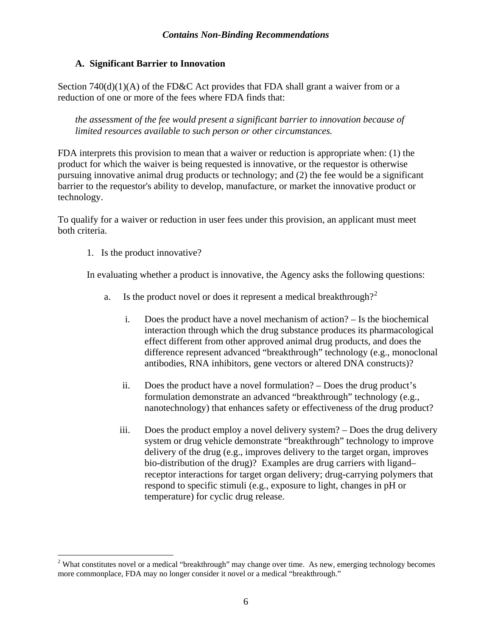#### <span id="page-5-0"></span>**A. Significant Barrier to Innovation**

Section  $740(d)(1)(A)$  of the FD&C Act provides that FDA shall grant a waiver from or a reduction of one or more of the fees where FDA finds that:

*the assessment of the fee would present a significant barrier to innovation because of limited resources available to such person or other circumstances.*

FDA interprets this provision to mean that a waiver or reduction is appropriate when: (1) the product for which the waiver is being requested is innovative, or the requestor is otherwise pursuing innovative animal drug products or technology; and (2) the fee would be a significant barrier to the requestor's ability to develop, manufacture, or market the innovative product or technology.

To qualify for a waiver or reduction in user fees under this provision, an applicant must meet both criteria.

1. Is the product innovative?

 $\overline{a}$ 

In evaluating whether a product is innovative, the Agency asks the following questions:

- a. Is the product novel or does it represent a medical breakthrough?<sup>[2](#page-5-1)</sup>
	- i. Does the product have a novel mechanism of action? Is the biochemical interaction through which the drug substance produces its pharmacological effect different from other approved animal drug products, and does the difference represent advanced "breakthrough" technology (e.g., monoclonal antibodies, RNA inhibitors, gene vectors or altered DNA constructs)?
	- ii. Does the product have a novel formulation? Does the drug product's formulation demonstrate an advanced "breakthrough" technology (e.g., nanotechnology) that enhances safety or effectiveness of the drug product?
	- iii. Does the product employ a novel delivery system? Does the drug delivery system or drug vehicle demonstrate "breakthrough" technology to improve delivery of the drug (e.g., improves delivery to the target organ, improves bio-distribution of the drug)? Examples are drug carriers with ligand– receptor interactions for target organ delivery; drug-carrying polymers that respond to specific stimuli (e.g., exposure to light, changes in pH or temperature) for cyclic drug release.

<span id="page-5-1"></span><sup>&</sup>lt;sup>2</sup> What constitutes novel or a medical "breakthrough" may change over time. As new, emerging technology becomes more commonplace, FDA may no longer consider it novel or a medical "breakthrough."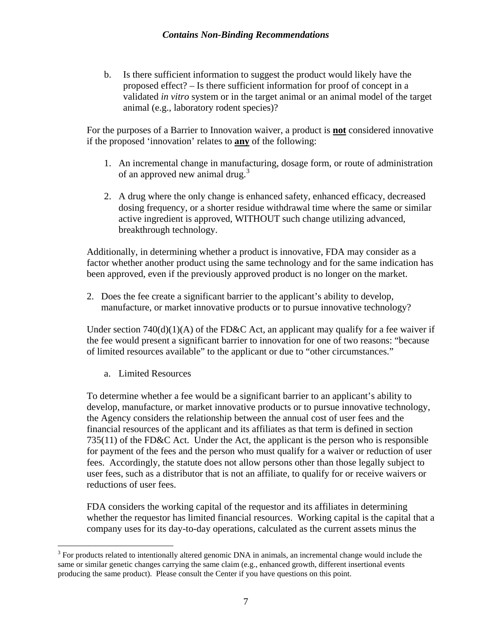b. Is there sufficient information to suggest the product would likely have the proposed effect? – Is there sufficient information for proof of concept in a validated *in vitro* system or in the target animal or an animal model of the target animal (e.g., laboratory rodent species)?

For the purposes of a Barrier to Innovation waiver, a product is **not** considered innovative if the proposed 'innovation' relates to **any** of the following:

- 1. An incremental change in manufacturing, dosage form, or route of administration of an approved new animal drug.<sup>[3](#page-6-0)</sup>
- 2. A drug where the only change is enhanced safety, enhanced efficacy, decreased dosing frequency, or a shorter residue withdrawal time where the same or similar active ingredient is approved, WITHOUT such change utilizing advanced, breakthrough technology.

Additionally, in determining whether a product is innovative, FDA may consider as a factor whether another product using the same technology and for the same indication has been approved, even if the previously approved product is no longer on the market.

2. Does the fee create a significant barrier to the applicant's ability to develop, manufacture, or market innovative products or to pursue innovative technology?

Under section  $740(d)(1)(A)$  of the FD&C Act, an applicant may qualify for a fee waiver if the fee would present a significant barrier to innovation for one of two reasons: "because of limited resources available" to the applicant or due to "other circumstances."

a. Limited Resources

To determine whether a fee would be a significant barrier to an applicant's ability to develop, manufacture, or market innovative products or to pursue innovative technology, the Agency considers the relationship between the annual cost of user fees and the financial resources of the applicant and its affiliates as that term is defined in section 735(11) of the FD&C Act. Under the Act, the applicant is the person who is responsible for payment of the fees and the person who must qualify for a waiver or reduction of user fees. Accordingly, the statute does not allow persons other than those legally subject to user fees, such as a distributor that is not an affiliate, to qualify for or receive waivers or reductions of user fees.

FDA considers the working capital of the requestor and its affiliates in determining whether the requestor has limited financial resources. Working capital is the capital that a company uses for its day-to-day operations, calculated as the current assets minus the

<span id="page-6-0"></span><sup>&</sup>lt;sup>3</sup> For products related to intentionally altered genomic DNA in animals, an incremental change would include the same or similar genetic changes carrying the same claim (e.g., enhanced growth, different insertional events producing the same product). Please consult the Center if you have questions on this point.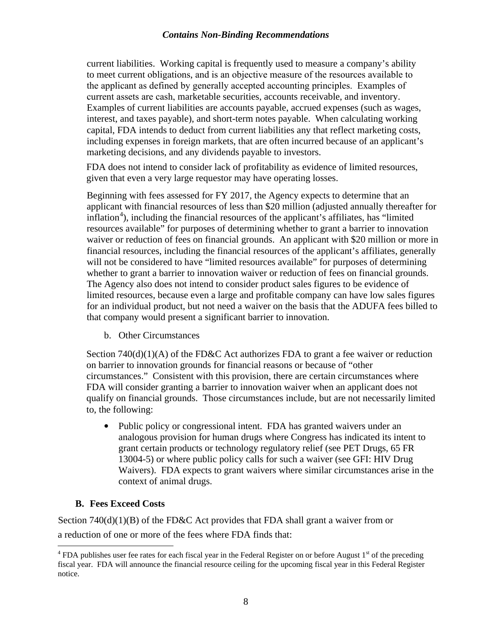current liabilities. Working capital is frequently used to measure a company's ability to meet current obligations, and is an objective measure of the resources available to the applicant as defined by generally accepted accounting principles. Examples of current assets are cash, marketable securities, accounts receivable, and inventory. Examples of current liabilities are accounts payable, accrued expenses (such as wages, interest, and taxes payable), and short-term notes payable. When calculating working capital, FDA intends to deduct from current liabilities any that reflect marketing costs, including expenses in foreign markets, that are often incurred because of an applicant's marketing decisions, and any dividends payable to investors.

FDA does not intend to consider lack of profitability as evidence of limited resources, given that even a very large requestor may have operating losses.

Beginning with fees assessed for FY 2017, the Agency expects to determine that an applican[t](#page-7-1) with financial resources of less than \$20 million (adjusted annually thereafter for inflation<sup>4</sup>), including the financial resources of the applicant's affiliates, has "limited resources available" for purposes of determining whether to grant a barrier to innovation waiver or reduction of fees on financial grounds. An applicant with \$20 million or more in financial resources, including the financial resources of the applicant's affiliates, generally will not be considered to have "limited resources available" for purposes of determining whether to grant a barrier to innovation waiver or reduction of fees on financial grounds. The Agency also does not intend to consider product sales figures to be evidence of limited resources, because even a large and profitable company can have low sales figures for an individual product, but not need a waiver on the basis that the ADUFA fees billed to that company would present a significant barrier to innovation.

b. Other Circumstances

Section  $740(d)(1)(A)$  of the FD&C Act authorizes FDA to grant a fee waiver or reduction on barrier to innovation grounds for financial reasons or because of "other circumstances." Consistent with this provision, there are certain circumstances where FDA will consider granting a barrier to innovation waiver when an applicant does not qualify on financial grounds. Those circumstances include, but are not necessarily limited to, the following:

• Public policy or congressional intent. FDA has granted waivers under an analogous provision for human drugs where Congress has indicated its intent to grant certain products or technology regulatory relief (see PET Drugs, 65 FR 13004-5) or where public policy calls for such a waiver (see GFI: HIV Drug Waivers). FDA expects to grant waivers where similar circumstances arise in the context of animal drugs.

#### <span id="page-7-0"></span>**B. Fees Exceed Costs**

Section 740(d)(1)(B) of the FD&C Act provides that FDA shall grant a waiver from or a reduction of one or more of the fees where FDA finds that:

<span id="page-7-1"></span> $4$  FDA publishes user fee rates for each fiscal year in the Federal Register on or before August  $1<sup>st</sup>$  of the preceding fiscal year. FDA will announce the financial resource ceiling for the upcoming fiscal year in this Federal Register notice.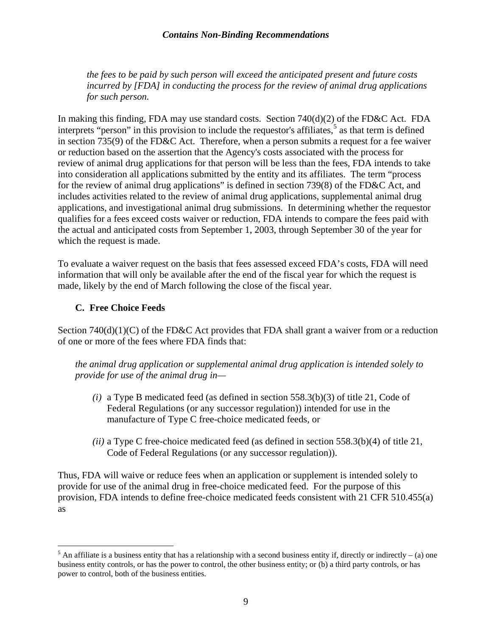*the fees to be paid by such person will exceed the anticipated present and future costs incurred by [FDA] in conducting the process for the review of animal drug applications for such person.* 

In making this finding, FDA may use standard costs. Section 740(d)(2) of the FD&C Act. FDA interprets "person" in this provision to include the requestor's affiliates, [5](#page-8-1) as that term is defined in section 735(9) of the FD&C Act. Therefore, when a person submits a request for a fee waiver or reduction based on the assertion that the Agency's costs associated with the process for review of animal drug applications for that person will be less than the fees, FDA intends to take into consideration all applications submitted by the entity and its affiliates. The term "process for the review of animal drug applications" is defined in section 739(8) of the FD&C Act, and includes activities related to the review of animal drug applications, supplemental animal drug applications, and investigational animal drug submissions. In determining whether the requestor qualifies for a fees exceed costs waiver or reduction, FDA intends to compare the fees paid with the actual and anticipated costs from September 1, 2003, through September 30 of the year for which the request is made.

To evaluate a waiver request on the basis that fees assessed exceed FDA's costs, FDA will need information that will only be available after the end of the fiscal year for which the request is made, likely by the end of March following the close of the fiscal year.

#### <span id="page-8-0"></span>**C. Free Choice Feeds**

Section  $740(d)(1)(C)$  of the FD&C Act provides that FDA shall grant a waiver from or a reduction of one or more of the fees where FDA finds that:

*the animal drug application or supplemental animal drug application is intended solely to provide for use of the animal drug in—*

- *(i)* a Type B medicated feed (as defined in section 558.3(b)(3) of title 21, Code of Federal Regulations (or any successor regulation)) intended for use in the manufacture of Type C free-choice medicated feeds, or
- *(ii)* a Type C free-choice medicated feed (as defined in section 558.3(b)(4) of title 21, Code of Federal Regulations (or any successor regulation)).

Thus, FDA will waive or reduce fees when an application or supplement is intended solely to provide for use of the animal drug in free-choice medicated feed. For the purpose of this provision, FDA intends to define free-choice medicated feeds consistent with 21 CFR 510.455(a) as

<span id="page-8-1"></span><sup>&</sup>lt;sup>5</sup> An affiliate is a business entity that has a relationship with a second business entity if, directly or indirectly – (a) one business entity controls, or has the power to control, the other business entity; or (b) a third party controls, or has power to control, both of the business entities.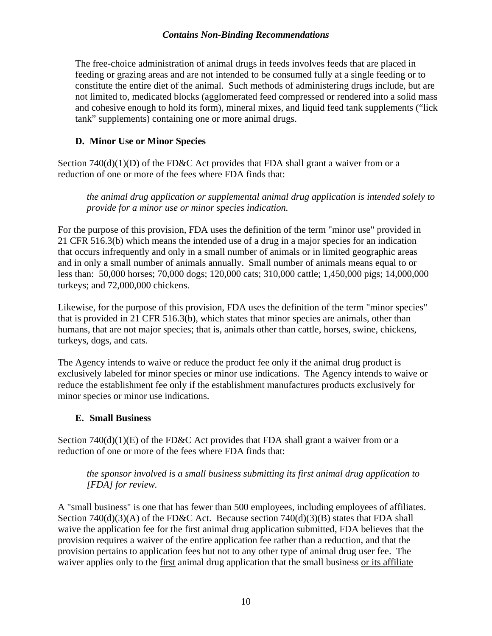The free-choice administration of animal drugs in feeds involves feeds that are placed in feeding or grazing areas and are not intended to be consumed fully at a single feeding or to constitute the entire diet of the animal. Such methods of administering drugs include, but are not limited to, medicated blocks (agglomerated feed compressed or rendered into a solid mass and cohesive enough to hold its form), mineral mixes, and liquid feed tank supplements ("lick tank" supplements) containing one or more animal drugs.

## <span id="page-9-0"></span>**D. Minor Use or Minor Species**

Section  $740(d)(1)(D)$  of the FD&C Act provides that FDA shall grant a waiver from or a reduction of one or more of the fees where FDA finds that:

*the animal drug application or supplemental animal drug application is intended solely to provide for a minor use or minor species indication.*

For the purpose of this provision, FDA uses the definition of the term "minor use" provided in 21 CFR 516.3(b) which means the intended use of a drug in a major species for an indication that occurs infrequently and only in a small number of animals or in limited geographic areas and in only a small number of animals annually. Small number of animals means equal to or less than: 50,000 horses; 70,000 dogs; 120,000 cats; 310,000 cattle; 1,450,000 pigs; 14,000,000 turkeys; and 72,000,000 chickens.

Likewise, for the purpose of this provision, FDA uses the definition of the term "minor species" that is provided in 21 CFR 516.3(b), which states that minor species are animals, other than humans, that are not major species; that is, animals other than cattle, horses, swine, chickens, turkeys, dogs, and cats.

The Agency intends to waive or reduce the product fee only if the animal drug product is exclusively labeled for minor species or minor use indications. The Agency intends to waive or reduce the establishment fee only if the establishment manufactures products exclusively for minor species or minor use indications.

#### <span id="page-9-1"></span>**E. Small Business**

Section  $740(d)(1)(E)$  of the FD&C Act provides that FDA shall grant a waiver from or a reduction of one or more of the fees where FDA finds that:

#### *the sponsor involved is a small business submitting its first animal drug application to [FDA] for review.*

A "small business" is one that has fewer than 500 employees, including employees of affiliates. Section 740(d)(3)(A) of the FD&C Act. Because section 740(d)(3)(B) states that FDA shall waive the application fee for the first animal drug application submitted, FDA believes that the provision requires a waiver of the entire application fee rather than a reduction, and that the provision pertains to application fees but not to any other type of animal drug user fee. The waiver applies only to the first animal drug application that the small business or its affiliate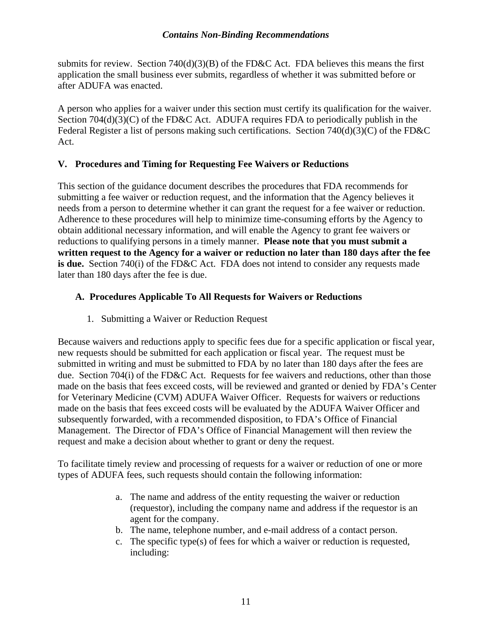submits for review. Section  $740(d)(3)(B)$  of the FD&C Act. FDA believes this means the first application the small business ever submits, regardless of whether it was submitted before or after ADUFA was enacted.

A person who applies for a waiver under this section must certify its qualification for the waiver. Section 704(d)(3)(C) of the FD&C Act. ADUFA requires FDA to periodically publish in the Federal Register a list of persons making such certifications. Section 740(d)(3)(C) of the FD&C Act.

#### <span id="page-10-0"></span>**V. Procedures and Timing for Requesting Fee Waivers or Reductions**

This section of the guidance document describes the procedures that FDA recommends for submitting a fee waiver or reduction request, and the information that the Agency believes it needs from a person to determine whether it can grant the request for a fee waiver or reduction. Adherence to these procedures will help to minimize time-consuming efforts by the Agency to obtain additional necessary information, and will enable the Agency to grant fee waivers or reductions to qualifying persons in a timely manner. **Please note that you must submit a written request to the Agency for a waiver or reduction no later than 180 days after the fee is due.** Section 740(i) of the FD&C Act. FDA does not intend to consider any requests made later than 180 days after the fee is due.

## <span id="page-10-1"></span>**A. Procedures Applicable To All Requests for Waivers or Reductions**

1. Submitting a Waiver or Reduction Request

Because waivers and reductions apply to specific fees due for a specific application or fiscal year, new requests should be submitted for each application or fiscal year. The request must be submitted in writing and must be submitted to FDA by no later than 180 days after the fees are due. Section 704(i) of the FD&C Act. Requests for fee waivers and reductions, other than those made on the basis that fees exceed costs, will be reviewed and granted or denied by FDA's Center for Veterinary Medicine (CVM) ADUFA Waiver Officer. Requests for waivers or reductions made on the basis that fees exceed costs will be evaluated by the ADUFA Waiver Officer and subsequently forwarded, with a recommended disposition, to FDA's Office of Financial Management. The Director of FDA's Office of Financial Management will then review the request and make a decision about whether to grant or deny the request.

To facilitate timely review and processing of requests for a waiver or reduction of one or more types of ADUFA fees, such requests should contain the following information:

- a. The name and address of the entity requesting the waiver or reduction (requestor), including the company name and address if the requestor is an agent for the company.
- b. The name, telephone number, and e-mail address of a contact person.
- c. The specific type(s) of fees for which a waiver or reduction is requested, including: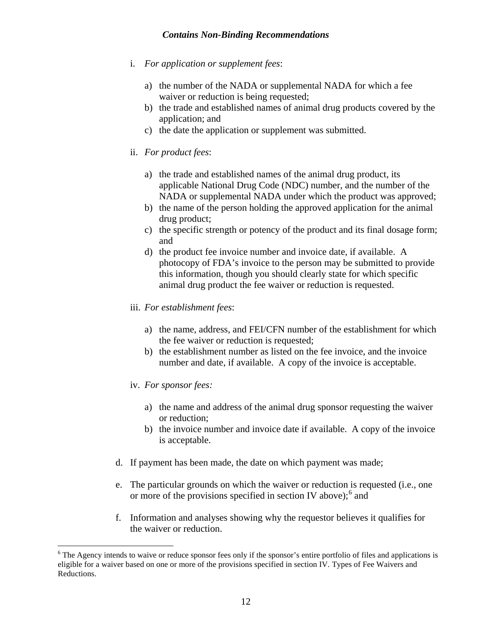- i. *For application or supplement fees*:
	- a) the number of the NADA or supplemental NADA for which a fee waiver or reduction is being requested;
	- b) the trade and established names of animal drug products covered by the application; and
	- c) the date the application or supplement was submitted.
- ii. *For product fees*:
	- a) the trade and established names of the animal drug product, its applicable National Drug Code (NDC) number, and the number of the NADA or supplemental NADA under which the product was approved;
	- b) the name of the person holding the approved application for the animal drug product;
	- c) the specific strength or potency of the product and its final dosage form; and
	- d) the product fee invoice number and invoice date, if available. A photocopy of FDA's invoice to the person may be submitted to provide this information, though you should clearly state for which specific animal drug product the fee waiver or reduction is requested.
- iii. *For establishment fees*:
	- a) the name, address, and FEI/CFN number of the establishment for which the fee waiver or reduction is requested;
	- b) the establishment number as listed on the fee invoice, and the invoice number and date, if available. A copy of the invoice is acceptable.
- iv. *For sponsor fees:*

 $\overline{a}$ 

- a) the name and address of the animal drug sponsor requesting the waiver or reduction;
- b) the invoice number and invoice date if available. A copy of the invoice is acceptable.
- d. If payment has been made, the date on which payment was made;
- e. The particular grounds on which the waiver or reduction is requested (i.e., one or more of the provisions specified in section IV above);<sup>[6](#page-11-0)</sup> and
- f. Information and analyses showing why the requestor believes it qualifies for the waiver or reduction.

<span id="page-11-0"></span><sup>&</sup>lt;sup>6</sup> The Agency intends to waive or reduce sponsor fees only if the sponsor's entire portfolio of files and applications is eligible for a waiver based on one or more of the provisions specified in section IV. Types of Fee Waivers and Reductions.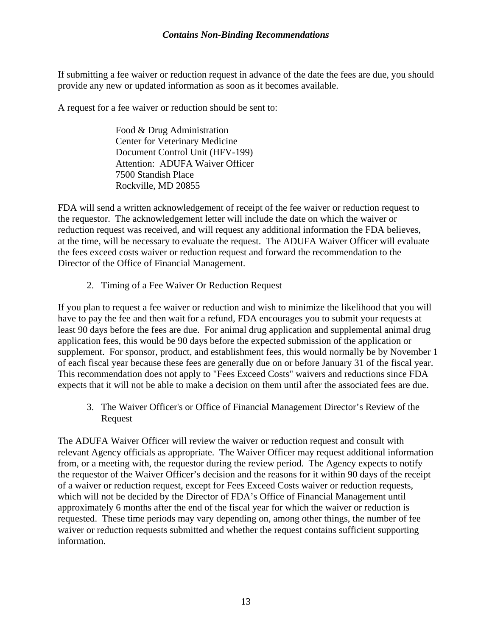If submitting a fee waiver or reduction request in advance of the date the fees are due, you should provide any new or updated information as soon as it becomes available.

A request for a fee waiver or reduction should be sent to:

Food & Drug Administration Center for Veterinary Medicine Document Control Unit (HFV-199) Attention: ADUFA Waiver Officer 7500 Standish Place Rockville, MD 20855

FDA will send a written acknowledgement of receipt of the fee waiver or reduction request to the requestor. The acknowledgement letter will include the date on which the waiver or reduction request was received, and will request any additional information the FDA believes, at the time, will be necessary to evaluate the request. The ADUFA Waiver Officer will evaluate the fees exceed costs waiver or reduction request and forward the recommendation to the Director of the Office of Financial Management.

2. Timing of a Fee Waiver Or Reduction Request

If you plan to request a fee waiver or reduction and wish to minimize the likelihood that you will have to pay the fee and then wait for a refund, FDA encourages you to submit your requests at least 90 days before the fees are due. For animal drug application and supplemental animal drug application fees, this would be 90 days before the expected submission of the application or supplement. For sponsor, product, and establishment fees, this would normally be by November 1 of each fiscal year because these fees are generally due on or before January 31 of the fiscal year. This recommendation does not apply to "Fees Exceed Costs" waivers and reductions since FDA expects that it will not be able to make a decision on them until after the associated fees are due.

3. The Waiver Officer's or Office of Financial Management Director's Review of the Request

The ADUFA Waiver Officer will review the waiver or reduction request and consult with relevant Agency officials as appropriate. The Waiver Officer may request additional information from, or a meeting with, the requestor during the review period. The Agency expects to notify the requestor of the Waiver Officer's decision and the reasons for it within 90 days of the receipt of a waiver or reduction request, except for Fees Exceed Costs waiver or reduction requests, which will not be decided by the Director of FDA's Office of Financial Management until approximately 6 months after the end of the fiscal year for which the waiver or reduction is requested. These time periods may vary depending on, among other things, the number of fee waiver or reduction requests submitted and whether the request contains sufficient supporting information.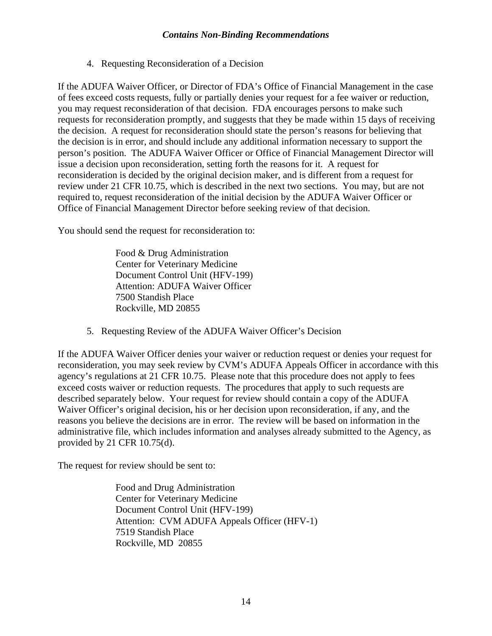4. Requesting Reconsideration of a Decision

If the ADUFA Waiver Officer, or Director of FDA's Office of Financial Management in the case of fees exceed costs requests, fully or partially denies your request for a fee waiver or reduction, you may request reconsideration of that decision. FDA encourages persons to make such requests for reconsideration promptly, and suggests that they be made within 15 days of receiving the decision. A request for reconsideration should state the person's reasons for believing that the decision is in error, and should include any additional information necessary to support the person's position. The ADUFA Waiver Officer or Office of Financial Management Director will issue a decision upon reconsideration, setting forth the reasons for it. A request for reconsideration is decided by the original decision maker, and is different from a request for review under 21 CFR 10.75, which is described in the next two sections. You may, but are not required to, request reconsideration of the initial decision by the ADUFA Waiver Officer or Office of Financial Management Director before seeking review of that decision.

You should send the request for reconsideration to:

Food & Drug Administration Center for Veterinary Medicine Document Control Unit (HFV-199) Attention: ADUFA Waiver Officer 7500 Standish Place Rockville, MD 20855

5. Requesting Review of the ADUFA Waiver Officer's Decision

If the ADUFA Waiver Officer denies your waiver or reduction request or denies your request for reconsideration, you may seek review by CVM's ADUFA Appeals Officer in accordance with this agency's regulations at 21 CFR 10.75. Please note that this procedure does not apply to fees exceed costs waiver or reduction requests. The procedures that apply to such requests are described separately below. Your request for review should contain a copy of the ADUFA Waiver Officer's original decision, his or her decision upon reconsideration, if any, and the reasons you believe the decisions are in error. The review will be based on information in the administrative file, which includes information and analyses already submitted to the Agency, as provided by 21 CFR 10.75(d).

The request for review should be sent to:

Food and Drug Administration Center for Veterinary Medicine Document Control Unit (HFV-199) Attention: CVM ADUFA Appeals Officer (HFV-1) 7519 Standish Place Rockville, MD 20855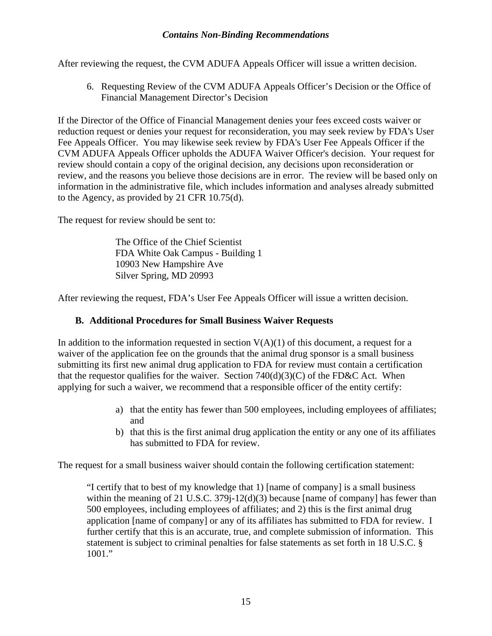After reviewing the request, the CVM ADUFA Appeals Officer will issue a written decision.

6. Requesting Review of the CVM ADUFA Appeals Officer's Decision or the Office of Financial Management Director's Decision

If the Director of the Office of Financial Management denies your fees exceed costs waiver or reduction request or denies your request for reconsideration, you may seek review by FDA's User Fee Appeals Officer. You may likewise seek review by FDA's User Fee Appeals Officer if the CVM ADUFA Appeals Officer upholds the ADUFA Waiver Officer's decision. Your request for review should contain a copy of the original decision, any decisions upon reconsideration or review, and the reasons you believe those decisions are in error. The review will be based only on information in the administrative file, which includes information and analyses already submitted to the Agency, as provided by 21 CFR 10.75(d).

The request for review should be sent to:

The Office of the Chief Scientist FDA White Oak Campus - Building 1 10903 New Hampshire Ave Silver Spring, MD 20993

After reviewing the request, FDA's User Fee Appeals Officer will issue a written decision.

#### <span id="page-14-0"></span>**B. Additional Procedures for Small Business Waiver Requests**

In addition to the information requested in section  $V(A)(1)$  of this document, a request for a waiver of the application fee on the grounds that the animal drug sponsor is a small business submitting its first new animal drug application to FDA for review must contain a certification that the requestor qualifies for the waiver. Section  $740(d)(3)(C)$  of the FD&C Act. When applying for such a waiver, we recommend that a responsible officer of the entity certify:

- a) that the entity has fewer than 500 employees, including employees of affiliates; and
- b) that this is the first animal drug application the entity or any one of its affiliates has submitted to FDA for review.

The request for a small business waiver should contain the following certification statement:

"I certify that to best of my knowledge that 1) [name of company] is a small business within the meaning of 21 U.S.C. 379j-12(d)(3) because [name of company] has fewer than 500 employees, including employees of affiliates; and 2) this is the first animal drug application [name of company] or any of its affiliates has submitted to FDA for review. I further certify that this is an accurate, true, and complete submission of information. This statement is subject to criminal penalties for false statements as set forth in 18 U.S.C. § 1001."